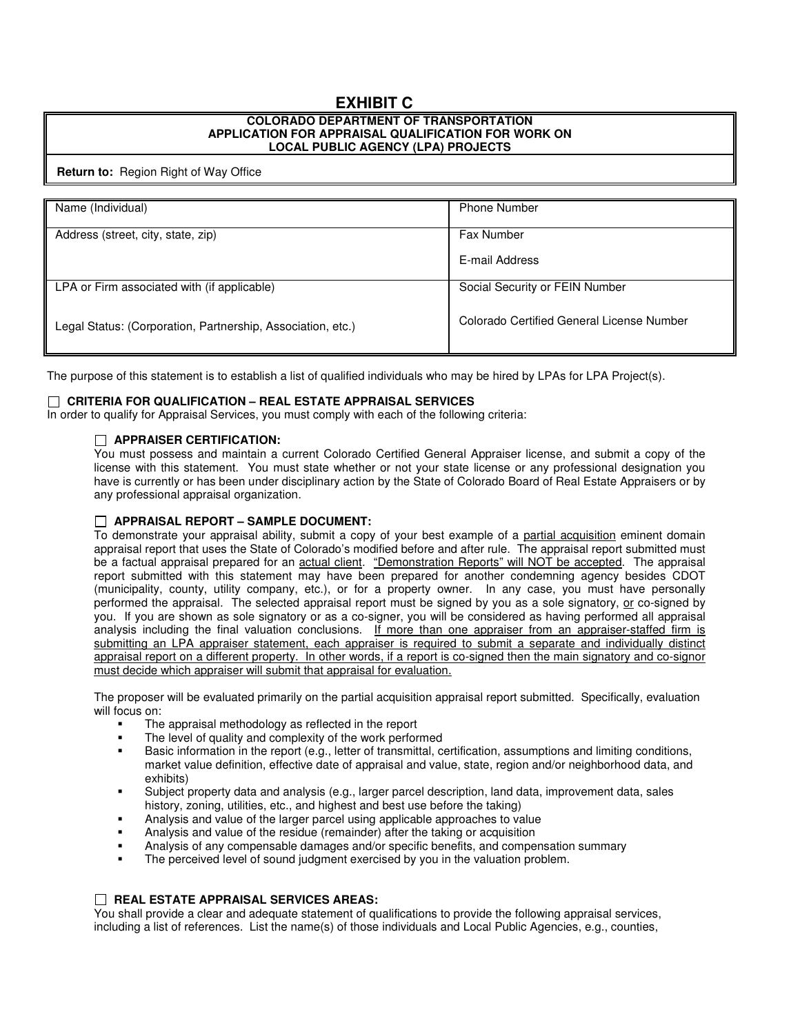# **EXHIBIT C**

#### **COLORADO DEPARTMENT OF TRANSPORTATION APPLICATION FOR APPRAISAL QUALIFICATION FOR WORK ON LOCAL PUBLIC AGENCY (LPA) PROJECTS**

#### **Return to:** Region Right of Way Office

| Name (Individual)                                           | <b>Phone Number</b>                       |
|-------------------------------------------------------------|-------------------------------------------|
| Address (street, city, state, zip)                          | <b>Fax Number</b>                         |
|                                                             |                                           |
|                                                             | E-mail Address                            |
| LPA or Firm associated with (if applicable)                 | Social Security or FEIN Number            |
| Legal Status: (Corporation, Partnership, Association, etc.) | Colorado Certified General License Number |

The purpose of this statement is to establish a list of qualified individuals who may be hired by LPAs for LPA Project(s).

# **CRITERIA FOR QUALIFICATION – REAL ESTATE APPRAISAL SERVICES**

In order to qualify for Appraisal Services, you must comply with each of the following criteria:

# **APPRAISER CERTIFICATION:**

You must possess and maintain a current Colorado Certified General Appraiser license, and submit a copy of the license with this statement. You must state whether or not your state license or any professional designation you have is currently or has been under disciplinary action by the State of Colorado Board of Real Estate Appraisers or by any professional appraisal organization.

# **APPRAISAL REPORT – SAMPLE DOCUMENT:**

To demonstrate your appraisal ability, submit a copy of your best example of a partial acquisition eminent domain appraisal report that uses the State of Colorado's modified before and after rule. The appraisal report submitted must be a factual appraisal prepared for an actual client. "Demonstration Reports" will NOT be accepted. The appraisal report submitted with this statement may have been prepared for another condemning agency besides CDOT (municipality, county, utility company, etc.), or for a property owner. In any case, you must have personally performed the appraisal. The selected appraisal report must be signed by you as a sole signatory, or co-signed by you. If you are shown as sole signatory or as a co-signer, you will be considered as having performed all appraisal analysis including the final valuation conclusions. If more than one appraiser from an appraiser-staffed firm is submitting an LPA appraiser statement, each appraiser is required to submit a separate and individually distinct appraisal report on a different property. In other words, if a report is co-signed then the main signatory and co-signor must decide which appraiser will submit that appraisal for evaluation.

The proposer will be evaluated primarily on the partial acquisition appraisal report submitted. Specifically, evaluation will focus on:

- The appraisal methodology as reflected in the report
- The level of quality and complexity of the work performed
- Basic information in the report (e.g., letter of transmittal, certification, assumptions and limiting conditions, market value definition, effective date of appraisal and value, state, region and/or neighborhood data, and exhibits)
- Subject property data and analysis (e.g., larger parcel description, land data, improvement data, sales history, zoning, utilities, etc., and highest and best use before the taking)
- Analysis and value of the larger parcel using applicable approaches to value
- Analysis and value of the residue (remainder) after the taking or acquisition
- Analysis of any compensable damages and/or specific benefits, and compensation summary
- The perceived level of sound judgment exercised by you in the valuation problem.

# **REAL ESTATE APPRAISAL SERVICES AREAS:**

You shall provide a clear and adequate statement of qualifications to provide the following appraisal services, including a list of references. List the name(s) of those individuals and Local Public Agencies, e.g., counties,